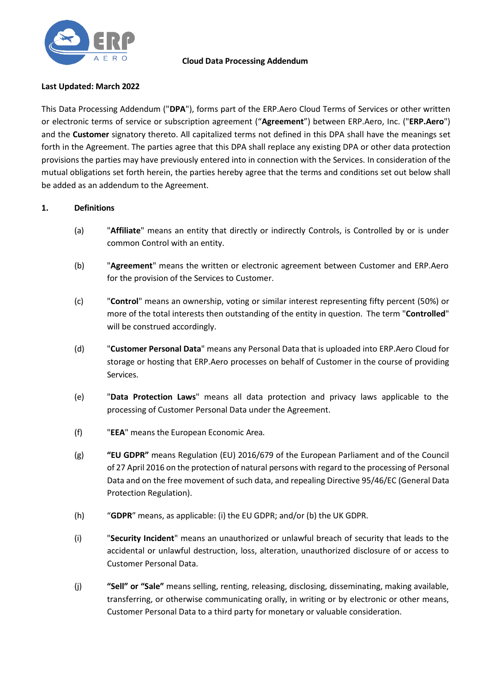

## **Cloud Data Processing Addendum**

# **Last Updated: March 2022**

This Data Processing Addendum ("**DPA**"), forms part of the ERP.Aero Cloud Terms of Services or other written or electronic terms of service or subscription agreement ("**Agreement**") between ERP.Aero, Inc. ("**ERP.Aero**") and the **Customer** signatory thereto. All capitalized terms not defined in this DPA shall have the meanings set forth in the Agreement. The parties agree that this DPA shall replace any existing DPA or other data protection provisions the parties may have previously entered into in connection with the Services. In consideration of the mutual obligations set forth herein, the parties hereby agree that the terms and conditions set out below shall be added as an addendum to the Agreement.

# **1. Definitions**

- (a) "**Affiliate**" means an entity that directly or indirectly Controls, is Controlled by or is under common Control with an entity.
- (b) "**Agreement**" means the written or electronic agreement between Customer and ERP.Aero for the provision of the Services to Customer.
- (c) "**Control**" means an ownership, voting or similar interest representing fifty percent (50%) or more of the total interests then outstanding of the entity in question. The term "**Controlled**" will be construed accordingly.
- (d) "**Customer Personal Data**" means any Personal Data that is uploaded into ERP.Aero Cloud for storage or hosting that ERP.Aero processes on behalf of Customer in the course of providing Services.
- (e) "**Data Protection Laws**" means all data protection and privacy laws applicable to the processing of Customer Personal Data under the Agreement.
- (f) "**EEA**" means the European Economic Area.
- (g) **"EU GDPR"** means Regulation (EU) 2016/679 of the European Parliament and of the Council of 27 April 2016 on the protection of natural persons with regard to the processing of Personal Data and on the free movement of such data, and repealing Directive 95/46/EC (General Data Protection Regulation).
- (h) "**GDPR**" means, as applicable: (i) the EU GDPR; and/or (b) the UK GDPR.
- (i) "**Security Incident**" means an unauthorized or unlawful breach of security that leads to the accidental or unlawful destruction, loss, alteration, unauthorized disclosure of or access to Customer Personal Data.
- (j) **"Sell" or "Sale"** means selling, renting, releasing, disclosing, disseminating, making available, transferring, or otherwise communicating orally, in writing or by electronic or other means, Customer Personal Data to a third party for monetary or valuable consideration.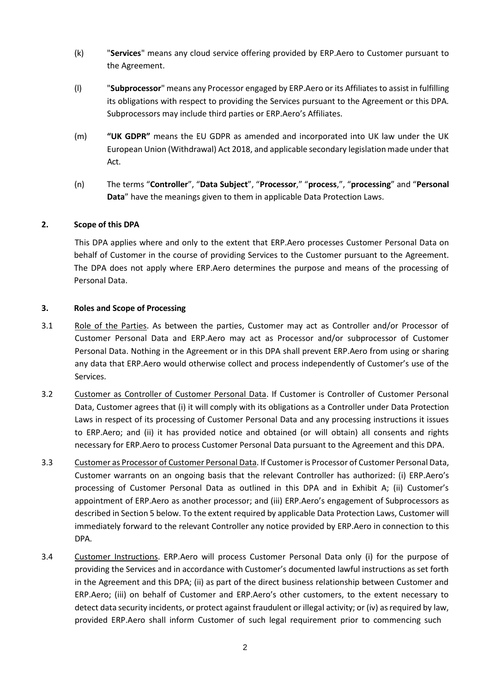- (k) "**Services**" means any cloud service offering provided by ERP.Aero to Customer pursuant to the Agreement.
- (l) "**Subprocessor**" means any Processor engaged by ERP.Aero or its Affiliates to assist in fulfilling its obligations with respect to providing the Services pursuant to the Agreement or this DPA. Subprocessors may include third parties or ERP.Aero's Affiliates.
- (m) **"UK GDPR"** means the EU GDPR as amended and incorporated into UK law under the UK European Union (Withdrawal) Act 2018, and applicable secondary legislation made under that Act.
- (n) The terms "**Controller**", "**Data Subject**", "**Processor**," "**process**,", "**processing**" and "**Personal Data**" have the meanings given to them in applicable Data Protection Laws.

# **2. Scope of this DPA**

This DPA applies where and only to the extent that ERP.Aero processes Customer Personal Data on behalf of Customer in the course of providing Services to the Customer pursuant to the Agreement. The DPA does not apply where ERP.Aero determines the purpose and means of the processing of Personal Data.

#### **3. Roles and Scope of Processing**

- 3.1 Role of the Parties. As between the parties, Customer may act as Controller and/or Processor of Customer Personal Data and ERP.Aero may act as Processor and/or subprocessor of Customer Personal Data. Nothing in the Agreement or in this DPA shall prevent ERP.Aero from using or sharing any data that ERP.Aero would otherwise collect and process independently of Customer's use of the Services.
- 3.2 Customer as Controller of Customer Personal Data. If Customer is Controller of Customer Personal Data, Customer agrees that (i) it will comply with its obligations as a Controller under Data Protection Laws in respect of its processing of Customer Personal Data and any processing instructions it issues to ERP.Aero; and (ii) it has provided notice and obtained (or will obtain) all consents and rights necessary for ERP.Aero to process Customer Personal Data pursuant to the Agreement and this DPA.
- 3.3 Customer as Processor of Customer Personal Data. If Customer is Processor of Customer Personal Data, Customer warrants on an ongoing basis that the relevant Controller has authorized: (i) ERP.Aero's processing of Customer Personal Data as outlined in this DPA and in Exhibit A; (ii) Customer's appointment of ERP.Aero as another processor; and (iii) ERP.Aero's engagement of Subprocessors as described in Section 5 below. To the extent required by applicable Data Protection Laws, Customer will immediately forward to the relevant Controller any notice provided by ERP.Aero in connection to this DPA.
- 3.4 Customer Instructions. ERP.Aero will process Customer Personal Data only (i) for the purpose of providing the Services and in accordance with Customer's documented lawful instructions as set forth in the Agreement and this DPA; (ii) as part of the direct business relationship between Customer and ERP.Aero; (iii) on behalf of Customer and ERP.Aero's other customers, to the extent necessary to detect data security incidents, or protect against fraudulent or illegal activity; or (iv) as required by law, provided ERP.Aero shall inform Customer of such legal requirement prior to commencing such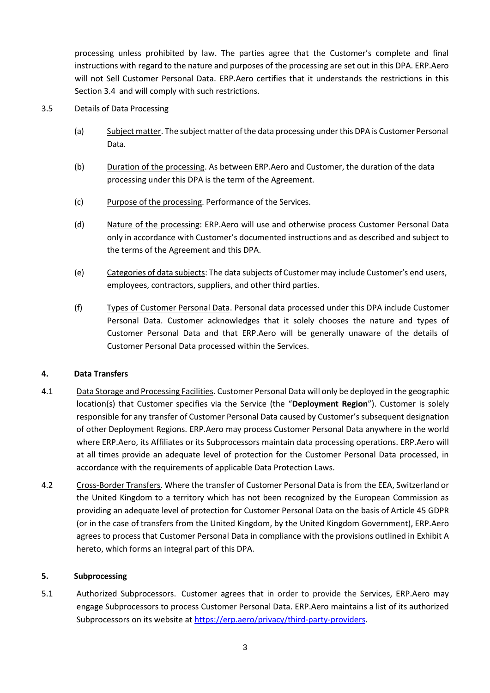processing unless prohibited by law. The parties agree that the Customer's complete and final instructions with regard to the nature and purposes of the processing are set out in this DPA. ERP.Aero will not Sell Customer Personal Data. ERP.Aero certifies that it understands the restrictions in this Section 3.4 and will comply with such restrictions.

# 3.5 Details of Data Processing

- (a) Subject matter. The subject matter of the data processing under this DPA is Customer Personal Data.
- (b) Duration of the processing. As between ERP.Aero and Customer, the duration of the data processing under this DPA is the term of the Agreement.
- (c) Purpose of the processing. Performance of the Services.
- (d) Nature of the processing: ERP.Aero will use and otherwise process Customer Personal Data only in accordance with Customer's documented instructions and as described and subject to the terms of the Agreement and this DPA.
- (e) Categories of data subjects: The data subjects of Customer may include Customer's end users, employees, contractors, suppliers, and other third parties.
- (f) Types of Customer Personal Data. Personal data processed under this DPA include Customer Personal Data. Customer acknowledges that it solely chooses the nature and types of Customer Personal Data and that ERP.Aero will be generally unaware of the details of Customer Personal Data processed within the Services.

# **4. Data Transfers**

- 4.1 Data Storage and Processing Facilities. Customer Personal Data will only be deployed in the geographic location(s) that Customer specifies via the Service (the "**Deployment Region**"). Customer is solely responsible for any transfer of Customer Personal Data caused by Customer's subsequent designation of other Deployment Regions. ERP.Aero may process Customer Personal Data anywhere in the world where ERP.Aero, its Affiliates or its Subprocessors maintain data processing operations. ERP.Aero will at all times provide an adequate level of protection for the Customer Personal Data processed, in accordance with the requirements of applicable Data Protection Laws.
- 4.2 Cross-Border Transfers. Where the transfer of Customer Personal Data is from the EEA, Switzerland or the United Kingdom to a territory which has not been recognized by the European Commission as providing an adequate level of protection for Customer Personal Data on the basis of Article 45 GDPR (or in the case of transfers from the United Kingdom, by the United Kingdom Government), ERP.Aero agrees to process that Customer Personal Data in compliance with the provisions outlined in Exhibit A hereto, which forms an integral part of this DPA.

#### **5. Subprocessing**

5.1 Authorized Subprocessors. Customer agrees that in order to provide the Services, ERP.Aero may engage Subprocessors to process Customer Personal Data. ERP.Aero maintains a list of its authorized Subprocessors on its website at [https://erp.aero/privacy/third-party-providers.](https://erp.aero/privacy/third-party-providers)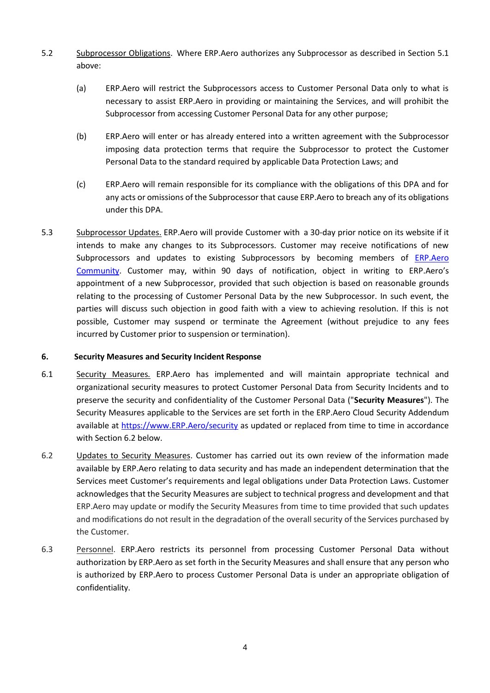- 5.2 Subprocessor Obligations. Where ERP.Aero authorizes any Subprocessor as described in Section 5.1 above:
	- (a) ERP.Aero will restrict the Subprocessors access to Customer Personal Data only to what is necessary to assist ERP.Aero in providing or maintaining the Services, and will prohibit the Subprocessor from accessing Customer Personal Data for any other purpose;
	- (b) ERP.Aero will enter or has already entered into a written agreement with the Subprocessor imposing data protection terms that require the Subprocessor to protect the Customer Personal Data to the standard required by applicable Data Protection Laws; and
	- (c) ERP.Aero will remain responsible for its compliance with the obligations of this DPA and for any acts or omissions of the Subprocessor that cause ERP.Aero to breach any of its obligations under this DPA.
- 5.3 Subprocessor Updates. ERP.Aero will provide Customer with a 30-day prior notice on its website if it intends to make any changes to its Subprocessors. Customer may receive notifications of new Subprocessors and updates to existing Subprocessors by becoming members of [ERP.Aero](https://community.erp.aero/)  [Community.](https://community.erp.aero/) Customer may, within 90 days of notification, object in writing to ERP.Aero's appointment of a new Subprocessor, provided that such objection is based on reasonable grounds relating to the processing of Customer Personal Data by the new Subprocessor. In such event, the parties will discuss such objection in good faith with a view to achieving resolution. If this is not possible, Customer may suspend or terminate the Agreement (without prejudice to any fees incurred by Customer prior to suspension or termination).

# **6. Security Measures and Security Incident Response**

- 6.1 Security Measures*.* ERP.Aero has implemented and will maintain appropriate technical and organizational security measures to protect Customer Personal Data from Security Incidents and to preserve the security and confidentiality of the Customer Personal Data ("**Security Measures**"). The Security Measures applicable to the Services are set forth in the ERP.Aero Cloud Security Addendum available at [https://www.ERP.Aero/security](https://www.erp.aero/security) as updated or replaced from time to time in accordance with Section 6.2 below.
- 6.2 Updates to Security Measures. Customer has carried out its own review of the information made available by ERP.Aero relating to data security and has made an independent determination that the Services meet Customer's requirements and legal obligations under Data Protection Laws. Customer acknowledges that the Security Measures are subject to technical progress and development and that ERP.Aero may update or modify the Security Measures from time to time provided that such updates and modifications do not result in the degradation of the overall security of the Services purchased by the Customer.
- 6.3 Personnel. ERP.Aero restricts its personnel from processing Customer Personal Data without authorization by ERP.Aero as set forth in the Security Measures and shall ensure that any person who is authorized by ERP.Aero to process Customer Personal Data is under an appropriate obligation of confidentiality.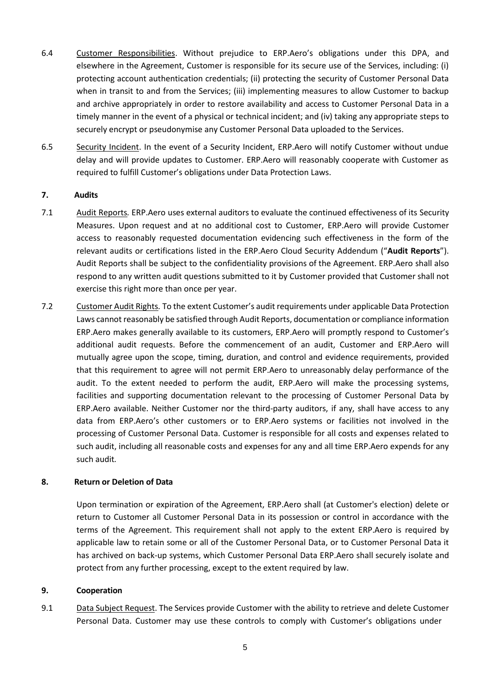- 6.4 Customer Responsibilities. Without prejudice to ERP.Aero's obligations under this DPA, and elsewhere in the Agreement, Customer is responsible for its secure use of the Services, including: (i) protecting account authentication credentials; (ii) protecting the security of Customer Personal Data when in transit to and from the Services; (iii) implementing measures to allow Customer to backup and archive appropriately in order to restore availability and access to Customer Personal Data in a timely manner in the event of a physical or technical incident; and (iv) taking any appropriate steps to securely encrypt or pseudonymise any Customer Personal Data uploaded to the Services.
- 6.5 Security Incident. In the event of a Security Incident, ERP.Aero will notify Customer without undue delay and will provide updates to Customer. ERP.Aero will reasonably cooperate with Customer as required to fulfill Customer's obligations under Data Protection Laws.

# **7. Audits**

- 7.1 Audit Reports*.* ERP.Aero uses external auditors to evaluate the continued effectiveness of its Security Measures. Upon request and at no additional cost to Customer, ERP.Aero will provide Customer access to reasonably requested documentation evidencing such effectiveness in the form of the relevant audits or certifications listed in the ERP.Aero Cloud Security Addendum ("**Audit Reports**"). Audit Reports shall be subject to the confidentiality provisions of the Agreement. ERP.Aero shall also respond to any written audit questions submitted to it by Customer provided that Customer shall not exercise this right more than once per year.
- 7.2 Customer Audit Rights*.* To the extent Customer's audit requirements under applicable Data Protection Laws cannot reasonably be satisfied through Audit Reports, documentation or compliance information ERP.Aero makes generally available to its customers, ERP.Aero will promptly respond to Customer's additional audit requests. Before the commencement of an audit, Customer and ERP.Aero will mutually agree upon the scope, timing, duration, and control and evidence requirements, provided that this requirement to agree will not permit ERP.Aero to unreasonably delay performance of the audit. To the extent needed to perform the audit, ERP.Aero will make the processing systems, facilities and supporting documentation relevant to the processing of Customer Personal Data by ERP.Aero available. Neither Customer nor the third-party auditors, if any, shall have access to any data from ERP.Aero's other customers or to ERP.Aero systems or facilities not involved in the processing of Customer Personal Data. Customer is responsible for all costs and expenses related to such audit, including all reasonable costs and expenses for any and all time ERP.Aero expends for any such audit*.*

# **8. Return or Deletion of Data**

Upon termination or expiration of the Agreement, ERP.Aero shall (at Customer's election) delete or return to Customer all Customer Personal Data in its possession or control in accordance with the terms of the Agreement. This requirement shall not apply to the extent ERP.Aero is required by applicable law to retain some or all of the Customer Personal Data, or to Customer Personal Data it has archived on back-up systems, which Customer Personal Data ERP.Aero shall securely isolate and protect from any further processing, except to the extent required by law.

#### **9. Cooperation**

9.1 Data Subject Request. The Services provide Customer with the ability to retrieve and delete Customer Personal Data. Customer may use these controls to comply with Customer's obligations under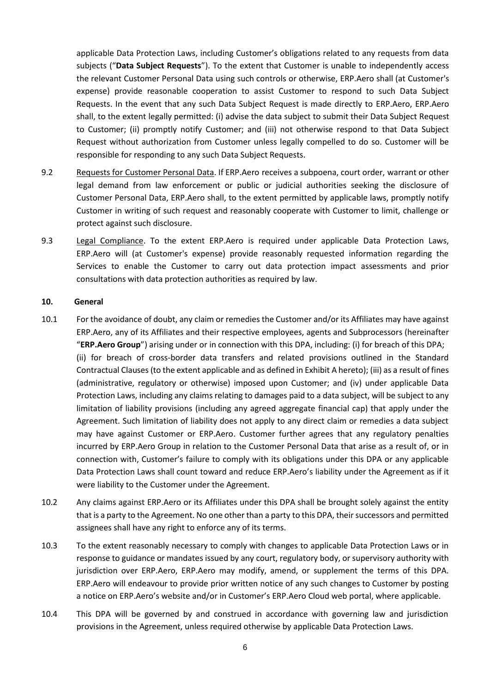applicable Data Protection Laws, including Customer's obligations related to any requests from data subjects ("**Data Subject Requests**"). To the extent that Customer is unable to independently access the relevant Customer Personal Data using such controls or otherwise, ERP.Aero shall (at Customer's expense) provide reasonable cooperation to assist Customer to respond to such Data Subject Requests. In the event that any such Data Subject Request is made directly to ERP.Aero, ERP.Aero shall, to the extent legally permitted: (i) advise the data subject to submit their Data Subject Request to Customer; (ii) promptly notify Customer; and (iii) not otherwise respond to that Data Subject Request without authorization from Customer unless legally compelled to do so. Customer will be responsible for responding to any such Data Subject Requests.

- 9.2 Requests for Customer Personal Data. If ERP.Aero receives a subpoena, court order, warrant or other legal demand from law enforcement or public or judicial authorities seeking the disclosure of Customer Personal Data, ERP.Aero shall, to the extent permitted by applicable laws, promptly notify Customer in writing of such request and reasonably cooperate with Customer to limit, challenge or protect against such disclosure.
- 9.3 Legal Compliance. To the extent ERP.Aero is required under applicable Data Protection Laws, ERP.Aero will (at Customer's expense) provide reasonably requested information regarding the Services to enable the Customer to carry out data protection impact assessments and prior consultations with data protection authorities as required by law.

#### **10. General**

- 10.1 For the avoidance of doubt, any claim or remedies the Customer and/or its Affiliates may have against ERP.Aero, any of its Affiliates and their respective employees, agents and Subprocessors (hereinafter "**ERP.Aero Group**") arising under or in connection with this DPA, including: (i) for breach of this DPA; (ii) for breach of cross-border data transfers and related provisions outlined in the Standard Contractual Clauses(to the extent applicable and as defined in Exhibit A hereto); (iii) as a result of fines (administrative, regulatory or otherwise) imposed upon Customer; and (iv) under applicable Data Protection Laws, including any claims relating to damages paid to a data subject, will be subject to any limitation of liability provisions (including any agreed aggregate financial cap) that apply under the Agreement. Such limitation of liability does not apply to any direct claim or remedies a data subject may have against Customer or ERP.Aero. Customer further agrees that any regulatory penalties incurred by ERP.Aero Group in relation to the Customer Personal Data that arise as a result of, or in connection with, Customer's failure to comply with its obligations under this DPA or any applicable Data Protection Laws shall count toward and reduce ERP.Aero's liability under the Agreement as if it were liability to the Customer under the Agreement.
- 10.2 Any claims against ERP.Aero or its Affiliates under this DPA shall be brought solely against the entity that is a party to the Agreement. No one other than a party to this DPA, their successors and permitted assignees shall have any right to enforce any of its terms.
- 10.3 To the extent reasonably necessary to comply with changes to applicable Data Protection Laws or in response to guidance or mandates issued by any court, regulatory body, or supervisory authority with jurisdiction over ERP.Aero, ERP.Aero may modify, amend, or supplement the terms of this DPA. ERP.Aero will endeavour to provide prior written notice of any such changes to Customer by posting a notice on ERP.Aero's website and/or in Customer's ERP.Aero Cloud web portal, where applicable.
- 10.4 This DPA will be governed by and construed in accordance with governing law and jurisdiction provisions in the Agreement, unless required otherwise by applicable Data Protection Laws.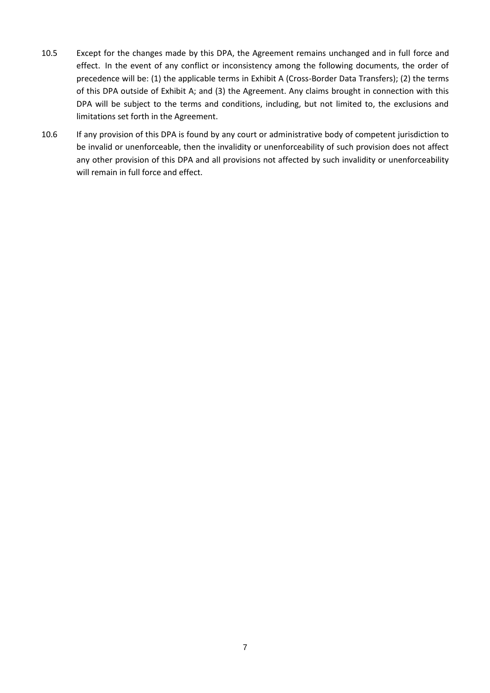- 10.5 Except for the changes made by this DPA, the Agreement remains unchanged and in full force and effect. In the event of any conflict or inconsistency among the following documents, the order of precedence will be: (1) the applicable terms in Exhibit A (Cross-Border Data Transfers); (2) the terms of this DPA outside of Exhibit A; and (3) the Agreement. Any claims brought in connection with this DPA will be subject to the terms and conditions, including, but not limited to, the exclusions and limitations set forth in the Agreement.
- 10.6 If any provision of this DPA is found by any court or administrative body of competent jurisdiction to be invalid or unenforceable, then the invalidity or unenforceability of such provision does not affect any other provision of this DPA and all provisions not affected by such invalidity or unenforceability will remain in full force and effect.